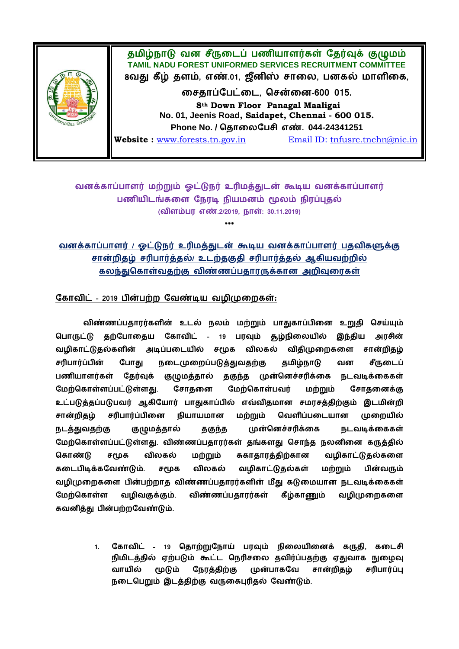

# வனக்காப்பாளர் மற்றும் ஓட்டுநர் உரிமத்துடன் கூடிய வனக்காப்பாளர் பணியிடங்களை நேரடி நியமனம் மூலம் நிரப்புதல் **( எண்.2/2019, நாள்: 30.11.2019)**

**\*\*\***

வனக்காப்பாளர் / ஓட்டுநர் உரிமத்துடன் கூடிய வனக்காப்பாளர் பதவிகளுக்கு சான்றிதழ் சரிபார்த்தல்/ உடற்தகுதி சரிபார்த்தல் ஆகியவற்றில் கலந்துகொள்வதற்கு விண்ணப்பதாரருக்கான அறிவுரைகள்

### கோவிட் - 2019 பின்பற்ற வேண்டிய வழிமுறைகள்:

விண்ணப்பதாரர்களின் உடல் நலம் மற்றும் பாதுகாப்பினை உறுதி செய்யும் பொருட்டு தற்போதைய கோவிட் - 19 பரவும் சூழ்நிலையில் இந்திய அாசின் வழிகாட்டுதல்களின் அடிப்படையில் சமூக விலகல் விதிமுறைகளை சான்றிகழ்  போது நடைமுறைப்படுத்துவதற்கு தமிழ்நாடு வன சீருடைப் பணியாளர்கள் கேர்வக் தகுந்த முன்னெச்சரிக்கை குழுமத்தால் நடவடிக்கைகள்  **.**  மேற்கொள்பவர் சோகனைக்கு மற்றும் உட்படுத்தப்படுபவர் ஆகியோர் பாதுகாப்பில் எவ்விதமான சமரசத்திற்கும் இடமின்றி  சரிபார்ப்பினை நியாயமான மற்றும் வெளிப்படையான முறையில் முன்னெச்சரிக்கை நடத்துவதற்கு குழுமத்தால் தகுந்த நடவடிக்கைகள் மேற்கொள்ளப்பட்டுள்ளது. விண்ணப்பதாரர்கள் தங்களது சொந்த நலனினை கருத்தில் விலகல் கொண்டு சமூக மற்றும் சுகாதாரத்திற்கான வழிகாட்டுதல்களை  **.**  விலகல் வழிகாட்டுதல்கள் மற்றும் பின்வரும் வழிமுறைகளை பின்பற்றாத விண்ணப்பதாரர்களின் மீது கடுமையான நடவடிக்கைகள் மேற்கொள்ள வமிவகுக்கும். விண்ணப்பகாார்கள் கீம்காணம் வமிமுறைகளை  **.**

> 1. கோவிட் - 19 தொற்றுநோய் பரவும் நிலையினைக் கருதி, கடைசி நிமிடத்தில் ஏற்படும் கூட்ட நெரிசலை தவிர்ப்பதற்கு ஏதுவாக நுழைவு வாயில் மடும் முன்பாகவே சான்றிகம் சரிபார்ப்பு நேரக்கிற்கு நடைபெறும் இடத்திற்கு வருகைபுரிதல் வேண்டும்.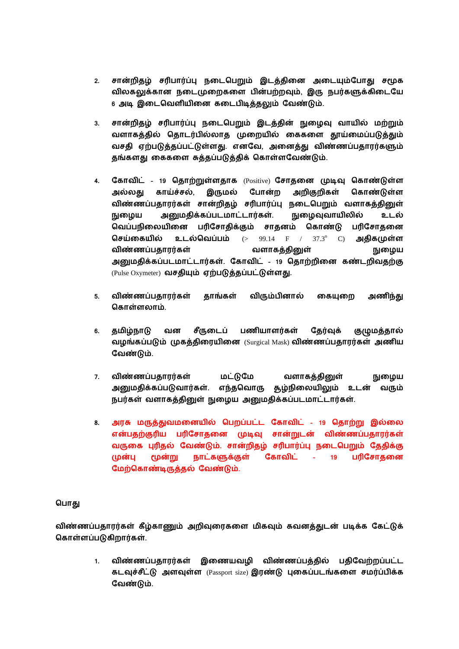- 2. சான்றிதழ் சரிபார்ப்பு நடைபெறும் இடத்தினை அடையும்போது சமூக விலகலுக்கான நடைமுறைகளை பின்பற்றவும், இரு நபர்களுக்கிடையே 6 அடி இடைவெளியினை கடைபிடித்தலும் வேண்டும்.
- 3. சான்றிதழ் சரிபார்ப்பு நடைபெறும் இடத்தின் நுழைவு வாயில் மற்றும் வளாகத்தில் தொடர்பில்லாத முறையில் கைகளை தூய்மைப்படுத்தும்  **. ,**  தங்களது கைகளை சுத்தப்படுத்திக் கொள்ளவேண்டும்.
- 4. கோவிட் 19 தொற்றுள்ளதாக (Positive) சோதனை முடிவு கொண்டுள்ள  **,**  இருமல் போன்ற அறிகுறிகள் கொண்டுள்ள விண்ணப்பதாரர்கள் சான்றிதழ் சரிபார்ப்பு நடைபெறும் வளாகத்தினுள் நுழைய அனுமதிக்கப்படமாட்டார்கள். நுழைவுவாயிலில் உடல் பரிசோதிக்கும்  சாகனம் கொண்டு பரிசோகனை **செய்கையில் உடல்வெப்பம்** (> 99.14 F / 37.3° C) அதிகமுள்ள விண்ணப்பதாரர்கள் வளாகத்தினுள் நுழைய  **. – 19**  (Pulse Oxymeter) **.**
- **5.**  தாங்கள் விரும்பினால் கையுறை அணிந்து  **.**
- சீருடைப் பணியாளர்கள் 6. தமிழ்நாடு வன தேர்வுக் குழுமத்தால் வழங்கப்படும் முகத்திரையினை (Surgical Mask) விண்ணப்பதாரர்கள் அணிய  **.**
- **7.**  மட்டுமே வளாகத்தினுள் நுழைய அனுமதிக்கப்படுவார்கள். எந்தவொரு <u>சூழ்நி</u>லையிலும் உடன் வரும் நபர்கள் வளாகத்தினுள் நுழைய அனுமதிக்கப்படமாட்டார்கள்.
- 8. அரசு மருத்துவமனையில் பெறப்பட்ட கோவிட் 19 தொற்று இல்லை என்பதற்குரிய பரிசோதனை முடிவு சான்றுடன் விண்ணப்பதாரர்கள் வருகை புரிதல் வேண்டும். சான்றிதழ் சரிபார்ப்பு நடைபெறும் தேதிக்கு  **– 19**  பரிசோதனை மேற்கொண்டிருத்தல் வேண்டும்.

### பொது

விண்ணப்பதாரர்கள் கீழ்காணும் அறிவுரைகளை மிகவும் கவனத்துடன் படிக்க கேட்டுக் கொள்ளப்படுகிறார்கள்.

> 1. விண்ணப்பதாரர்கள் இணையவழி விண்ணப்பத்தில் பதிவேற்றப்பட்ட கடவுச்சீட்டு அளவுள்ள (Passport size) இரண்டு புகைப்படங்களை சமர்ப்பிக்க  **.**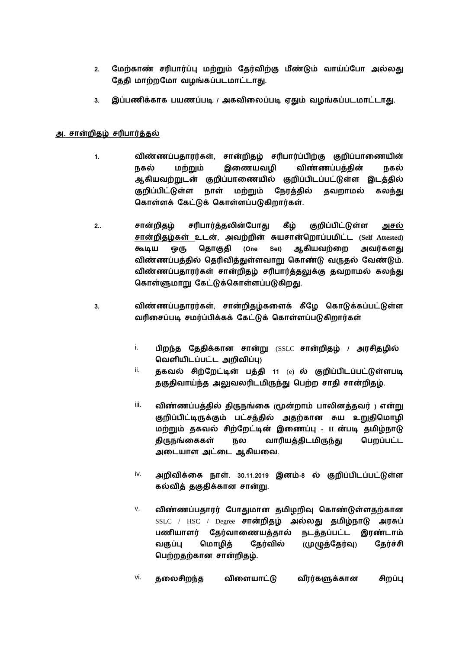- 2. மேற்காண் சரிபார்ப்பு மற்றும் தேர்விற்கு மீண்டும் வாய்ப்போ அல்லது தேதி மாற்றமோ வழங்கப்படமாட்டாது.
- 3. இப்பணிக்காக பயணப்படி / அகவிலைப்படி ஏதும் வழங்கப்படமாட்டாது.

## அ. சான்றிதழ் சரிபார்த்தல்

- 1. விண்ணப்பதாரர்கள், சான்றிதழ் சரிபார்ப்பிற்கு குறிப்பாணையின் இணையவழி விண்ணப்பக்கின்  மற்றும் நகல் ஆகியவற்றுடன் குறிப்பாணையில் குறிப்பிடப்பட்டுள்ள இடத்தில் குறிப்பிட்டுள்ள நாள் மற்றும் நேரத்தில் தவறாமல் கலந்து கொள்ளக் கேட்டுக் கொள்ளப்படுகிறார்கள்.
- 2.. சான்றிதழ் சரிபார்த்தலின்போது கீழ் குறிப்பிட்டுள்ள அசல்  **, (Self Attested) (One Set)**  அவர்களது விண்ணப்பத்தில் தெரிவித்துள்ளவாறு கொண்டு வருதல் வேண்டும். விண்ணப்பதாரர்கள் சான்றிதழ் சரிபார்த்தலுக்கு தவறாமல் கலந்து கொள்ளுமாறு கேட்டுக்கொள்ளப்படுகிறது.
- **3. ,**  வரிசைப்படி சமர்ப்பிக்கக் கேட்டுக் கொள்ளப்படுகிறார்கள்
	- i. பிறந்த தேதிக்கான சான்று (SSLC சான்றிதழ் / அரசிதழில்  **)**
	- ii. **தகவல் சிற்றேட்டின் பத்தி** 11 (e) ல் குறிப்பிடப்பட்டுள்ளபடி தகுதிவாய்ந்த அலுவலரிடமிருந்து பெற்ற சாதி சான்றிதழ்.
	- iii. **( )**  குறிப்பிட்டிருக்கும் பட்சத்தில் அதற்கான சுய உறுதிமொழி **மற்றும் தகவல் சிற்றேட்டின் இணைப்பு - II** ன்படி தமிழ்நாடு திருநங்கைகள் நல வாரியத்திடமிருந்து பெறப்பட்ட அடையாள அட்டை ஆகியவை.
	- <sup>iv.</sup> அறிவிக்கை நாள். 30.11.2019 இனம்-8 ல் குறிப்பிடப்பட்டுள்ள  **.**
	- v. விண்ணப்பதாரர் போதுமான தமிழறிவு கொண்டுள்ளதற்கான SSLC / HSC / Degree சான்றிதழ் அல்லது தமிழ்நாடு அரசுப் பணியாளர் தேர்வாணையத்தால் நடத்தப்பட்ட இரண்டாம்  **( )**  கேர்ச்சி  **.**
	- <sup>vi.</sup> தலைசிறந்த விளையாட்டு வீரர்களுக்கான சிறப்பு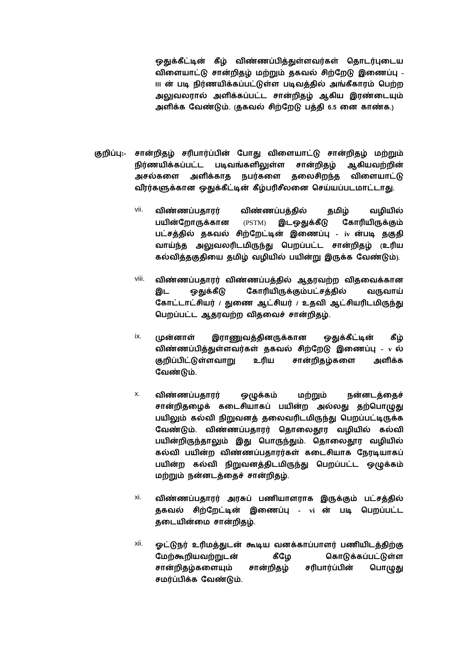ஒதுக்கீட்டின் கீழ் விண்ணப்பித்துள்ளவர்கள் தொடர்புடைய விளையாட்டு சான்றிதழ் மற்றும் தகவல் சிற்றேடு இணைப்பு -ய ன் படி நிர்ணயிக்கப்பட்டுள்ள படிவத்தில் அங்கீகாரம் பெற்ற அலுவலரால் அளிக்கப்பட்ட சான்றிதழ் ஆகிய இரண்டையும் அளிக்க வேண்டும். குகவல் சிற்றேடு பத்தி 6.5 னை காண்க.)

- சான்றிதழ் சரிபார்ப்பின் போது விளையாட்டு சான்றிதழ் மற்றும் குறிப்பு:-நிர்ணயிக்கப்பட்ட படிவங்களிலுள்ள சான்றிதழ் ஆகியவற்றின் அளிக்காத நபர்களை தலைசிறந்த விளையாட்டு அசல்களை வீரர்களுக்கான ஒதுக்கீட்டின் கீழ்பரிசீலனை செய்யப்படமாட்டாது.
	- vii. விண்ணப்பதாரர் விண்ணப்பத்தில் தமிழ் வழியில் பயின்றோருக்கான  $(PSTM)$ இடஒதுக்கீடு கோரியிருக்கும் பட்சத்தில் தகவல் சிற்றேட்டின் இணைப்பு - iv ன்படி தகுதி வாய்ந்த அலுவலரிடமிருந்து பெறப்பட்ட சான்றிதழ் (உரிய கல்வித்தகுதியை தமிழ் வழியில் பயின்று இருக்க வேண்டும்).
	- viii. விண்ணப்பதாரர் விண்ணப்பத்தில் ஆதரவற்ற விதவைக்கான கோரியிருக்கும்பட்சத்தில் இட ஒகுக்கீடு வருவாய் கோட்டாட்சியர் / துணை ஆட்சியர் / உதவி ஆட்சியரிடமிருந்து பெறப்பட்ட ஆதரவற்ற விதவைச் சான்றிதழ்.
	- ix. முன்னாள் இராணுவத்தினருக்கான ஒதுக்கீட்டின் கீழ் விண்ணப்பித்துள்ளவர்கள் தகவல் சிற்றேடு இணைப்பு - v ல் சான்றிதழ்களை குறிப்பிட்டுள்ளவாறு உரிய அளிக்க வேண்டும்.
	- x. விண்ணப்பகாார் ஒழுக்கம் மற்றும் நன்னடத்தைச் சான்றிதழைக் கடைசியாகப் பயின்ற அல்லது தற்பொழுது பயிலும் கல்வி நிறுவனத் தலைவரிடமிருந்து பெறப்பட்டிருக்க வேண்டும். விண்ணப்பதாரர் தொலைதூர வழியில் கல்வி பயின்றிருந்தாலும் இது பொருந்தும். தொலைதூர வழியில் கல்வி பயின்ற விண்ணப்பதாரர்கள் கடைசியாக நேரடியாகப் பயின்ற கல்வி நிறுவனத்திடமிருந்து பெறப்பட்ட ஒழுக்கம் மற்றும் நன்னடத்தைச் சான்றிதழ்.
	- xi. விண்ணப்பதாரர் அரசுப் பணியாளராக இருக்கும் பட்சத்தில் தகவல் சிற்றேட்டின் இணைப்பு - vi ன் படி பெறப்பட்ட தடையின்மை சான்றிதழ்.
	- xii. ஓட்டுநர் உரிமத்துடன் கூடிய வனக்காப்பாளர் பணியிடத்திற்கு மேற்கூறியவற்றுடன் கொடுக்கப்பட்டுள்ள கீழே சான்றிதழ் சான்றிதழ்களையும் சரிபார்ப்பின் பொழுது சமர்ப்பிக்க வேண்டும்.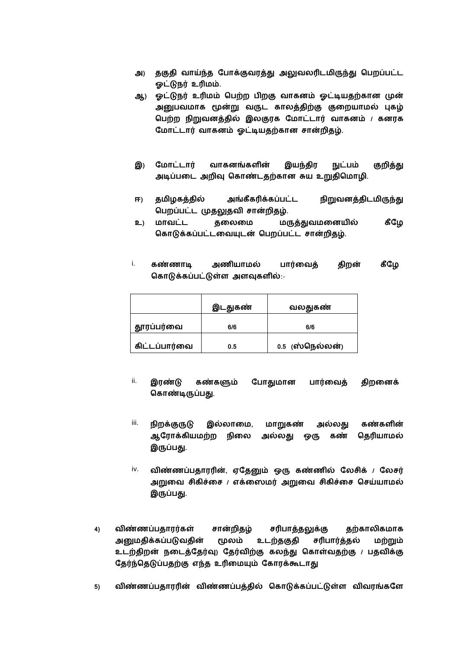- அ) தகுதி வாய்ந்த போக்குவரத்து அலுவலரிடமிருந்து பெறப்பட்ட ஓட்டுநர் உரிமம்.
- ஓட்டுநர் உரிமம் பெற்ற பிறகு வாகனம் ஓட்டியதற்கான முன் ஆ) அனுபவமாக மூன்று வருட காலத்திற்கு குறையாமல் புகழ் பெற்ற நிறுவனத்தில் இலகுரக மோட்டார் வாகனம் / கனரக மோட்டார் வாகனம் ஓட்டியதற்கான சான்றிதழ்.
- இ) மோட்டார் வாகனங்களின் இயந்திர நுட்பம் குறித்து அடிப்படை அறிவு கொண்டதற்கான சுய உறுதிமொழி.
- $\mathbf{F}$ தமிழகத்தில் அங்கீகரிக்கப்பட்ட நிறுவனத்திடமிருந்து பெறப்பட்ட முதலுதவி சான்றிதழ்.
- உ) மாவட்ட தலைமை மருத்துவமனையில் கீழே கொடுக்கப்பட்டவையுடன் பெறப்பட்ட சான்றிதழ்.
- கீழே i. கண்ணாடி அணியாமல் பார்வைத் திறன் கொடுக்கப்பட்டுள்ள அளவுகளில்:-

|               | இடதுகண் | வலதுகண்         |
|---------------|---------|-----------------|
| தூரப்பர்வை    | 6/6     | 6/6             |
| கிட்டப்பார்வை | 0.5     | 0.5 (ஸ்நெல்லன்) |

- ii. இரண்டு கண்களும் போதுமான பார்வைத் திறனைக் கொண்டிருப்பது.
- iii. நிறக்குருடு இல்லாமை, மாறுகண் அல்லது கண்களின் ஆரோக்கியமற்ற நிலை அல்லது ஒரு கண் தெரியாமல் இருப்பது.
- iv. விண்ணப்பதாரரின், ஏதேனும் ஒரு கண்ணில் லேசிக் / லேசர் அறுவை சிகிச்சை / எக்ஸைமர் அறுவை சிகிச்சை செய்யாமல் இருப்பது.
- விண்ணப்பதாரர்கள்  $4)$ சான்றிதழ் சரிபாத்தலுக்கு தற்காலிகமாக அனுமதிக்கப்படுவதின் மூலம் உடற்தகுதி சரிபார்த்தல் மற்றும் உடற்திறன் நடைத்தேர்வு) தேர்விற்கு கலந்து கொள்வதற்கு / பதவிக்கு தேர்ந்தெடுப்பதற்கு எந்த உரிமையும் கோரக்கூடாது
- $5)$ விண்ணப்பதாரரின் விண்ணப்பத்தில் கொடுக்கப்பட்டுள்ள விவரங்களே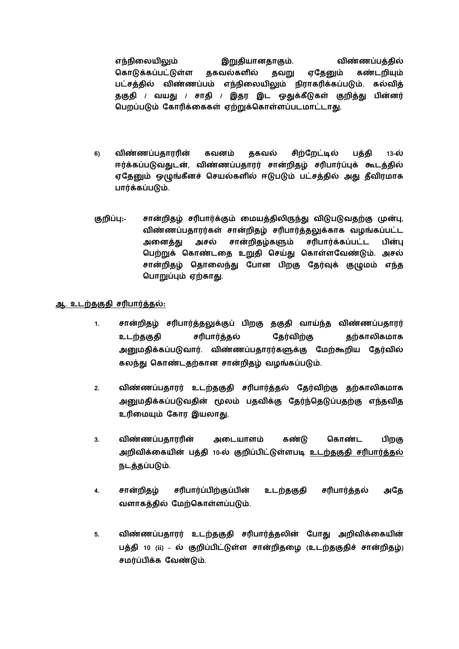எந்நிலையிலும் இறுதியானதாகும். விண்ணப்பக்கில் கொடுக்கப்பட்டுள்ள ககவல்களில் தவறு எகேனும் கண்டறியும் பட்சத்தில் விண்ணப்பம் எந்நிலையிலும் நிராகரிக்கப்படும். கல்வித் தகுதி / வயது / சாதி / இதர இட ஒதுக்கீடுகள் குறித்து பின்னர் பெறப்படும் கோரிக்கைகள் ஏற்றுக்கொள்ளப்படமாட்டாது.

- விண்ணப்பதாரரின் சிற்றேட்டில்  $6)$ கவனம் தகவல் பக்கி 13-ல் ஈர்க்கப்படுவதுடன், விண்ணப்பதாரர் சான்றிதழ் சரிபார்ப்புக் கூடத்தில் ஏதேனும் ஒழுங்கீனச் செயல்களில் ஈடுபடும் பட்சத்தில் அது தீவிரமாக பார்க்கப்படும்.
- குறிப்ப:-சான்றிதழ் சரிபார்க்கும் மையத்திலிருந்து விடுபடுவதற்கு முன்பு, விண்ணப்பதாரர்கள் சான்றிதழ் சரிபார்த்தலுக்காக வழங்கப்பட்ட சான்றிகம்களும் சரிபார்க்கப்பட்ட அசல் பின்ப அனைக்கு பெற்றுக் கொண்டதை உறுதி செய்து கொள்ளவேண்டும். அசல் சான்றிதழ் தொலைந்து போன பிறகு தேர்வுக் குழுமம் எந்த பொறுப்பும் ஏற்காது.

#### ஆ. உடற்தகுதி சரிபார்த்தல்:

- $1.$ சான்றிதழ் சரிபார்த்தலுக்குப் பிறகு தகுதி வாய்ந்த விண்ணப்பதாரர் கேர்விற்கு சரிபார்க்கல் கற்காலிகமாக உடற்தகுதி அனுமதிக்கப்படுவார். விண்ணப்பதாரர்களுக்கு மேற்கூறிய தேர்வில் கலந்து கொண்டதற்கான சான்றிதழ் வழங்கப்படும்.
- $2.$ விண்ணப்பதாரர் உடற்தகுதி சரிபார்த்தல் தேர்விற்கு தற்காலிகமாக அனுமதிக்கப்படுவதின் மூலம் பதவிக்கு தேர்ந்தெடுப்பதற்கு எந்தவித உரிமையும் கோர இயலாது.
- விண்ணப்பதாரரின் அடையாளம் கண்டு கொண்ட  $3.$ பிறகு அறிவிக்கையின் பக்கி 10-ல் குறிப்பிட்டுள்ளபடி உடற்குகுகி சரிபார்க்கல் நடத்தப்படும்.
- சரிபார்ப்பிற்குப்பின் உடற்தகுதி சரிபார்த்தல்  $\overline{4}$ . சான்றிதழ் அதே வளாகக்கில் மேற்கொள்ளப்படும்.
- $5.$ விண்ணப்பதாரர் உடற்தகுதி சரிபார்த்தலின் போது அறிவிக்கையின் பத்தி 10 (ii) - ல் குறிப்பிட்டுள்ள சான்றிதழை (உடற்தகுதிச் சான்றிதழ்) சமர்ப்பிக்க வேண்டும்.